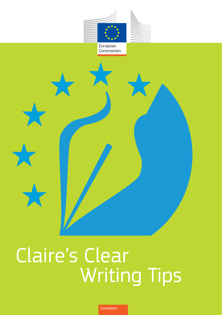

# Writing Tips Claire's Clear

*Translation*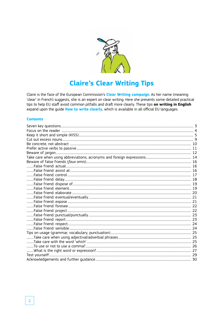

# **Claire's Clear Writing Tips**

Claire is the face of the European Commission's Clear Writing campaign. As her name (meaning 'clear' in French) suggests, she is an expert on clear writing. Here she presents some detailed practical tips to help EU staff avoid common pitfalls and draft more clearly. These tips on writing in English expand upon the guide How to write clearly, which is available in all official EU languages.

#### **Contents**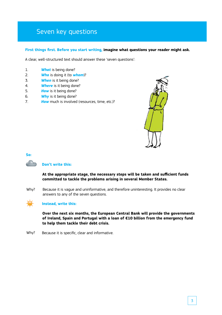# Seven key questions

#### **First things first. Before you start writing, imagine what questions your reader might ask.**

A clear, well-structured text should answer these 'seven questions':

- 1. *What* is being done?
- 2. *Who* is doing it (to *whom*)?
- 3. *When* is it being done?
- 4. *Where* is it being done?
- 5. *How* is it being done?
- 6. *Why* is it being done?
- 7. *How* much is involved (resources, time, etc.)?



#### **So:**

#### **Don't write this:**

**At the appropriate stage, the necessary steps will be taken and sufficient funds committed to tackle the problems arising in several Member States.**

Because it is vague and uninformative, and therefore uninteresting. It provides no clear answers to any of the seven questions. Why?



#### **Instead, write this:**

**Over the next six months, the European Central Bank will provide the governments of Ireland, Spain and Portugal with a loan of €10 billion from the emergency fund to help them tackle their debt crisis.** 

Because it is specific, clear and informative. Why?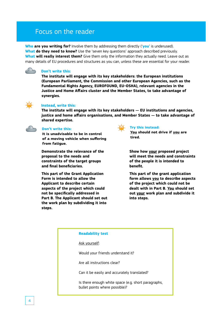# Focus on the reader

**Who are you writing for?** Involve them by addressing them directly ('**you**' is underused). **What do they need to know?** Use the 'seven key questions' approach described previously. **What will really interest them?** Give them only the information they actually need. Leave out as many details of EU procedures and structures as you can, unless these are essential for your reader.



#### **Don't write this:**

**The institute will engage with its key stakeholders: the European institutions (European Parliament, the Commission and other European Agencies, such as the Fundamental Rights Agency, EUROFOUND, EU-OSHA), relevant agencies in the Justice and Home Affairs cluster and the Member States, to take advantage of synergies.** 



#### **Instead, write this:**

**The institute will engage with its key stakeholders — EU institutions and agencies, justice and home affairs organisations, and Member States — to take advantage of shared expertise.** 



#### **Don't write this:**

**It is unadvisable to be in control of a moving vehicle when suffering from fatigue.**

**Demonstrate the relevance of the proposal to the needs and constraints of the target groups and final beneficiaries.**

**This part of the Grant Application Form is intended to allow the Applicant to describe certain aspects of the project which could not be specifically addressed in Part B. The Applicant should set out the work plan by subdividing it into steps.**



#### **Try this instead:**

**You should not drive if you are tired.**

**Show how your proposed project will meet the needs and constraints of the people it is intended to benefit.**

**This part of the grant application form allows you to describe aspects of the project which could not be dealt with in Part B. You should set out your work plan and subdivide it into steps.**

| <b>Readability test</b>                                                               |
|---------------------------------------------------------------------------------------|
| Ask yourself:                                                                         |
| Would your friends understand it?                                                     |
| Are all instructions clear?                                                           |
| Can it be easily and accurately translated?                                           |
| Is there enough white space (e.g. short paragraphs,<br>bullet points where possible)? |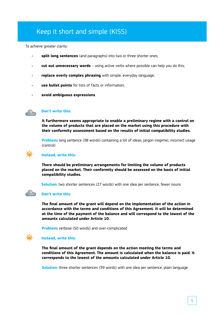# Keep it short and simple (KISS)

To achieve greater clarity:

- **split long sentences** (and paragraphs) into two or three shorter ones;
- **cut out unnecessary words** using active verbs where possible can help you do this;
- **replace overly complex phrasing** with simple, everyday language;
- **use bullet points** for lists of facts or information;
- **avoid ambiguous expressions**.



## **Don't write this:**

**It furthermore seems appropriate to enable a preliminary regime with a control on the volume of products that are placed on the market using this procedure with their conformity assessment based on the results of initial compatibility studies.**

**Problem:** long sentence (38 words) containing a lot of ideas; jargon (regime), incorrect usage (control)



#### **Instead, write this:**

**There should be preliminary arrangements for limiting the volume of products placed on the market. Their conformity should be assessed on the basis of initial compatibility studies.**

**Solution:** two shorter sentences (27 words) with one idea per sentence, fewer nouns



#### **Don't write this:**

**The final amount of the grant will depend on the implementation of the action in accordance with the terms and conditions of this Agreement. It will be determined at the time of the payment of the balance and will correspond to the lowest of the amounts calculated under Article 10.**

**Problem:** verbose (50 words) and over-complicated

## **Instead, write this:**

**The final amount of the grant depends on the action meeting the terms and conditions of this Agreement. The amount is calculated when the balance is paid. It corresponds to the lowest of the amounts calculated under Article 10.**

**Solution:** three shorter sentences (39 words) with one idea per sentence, plain language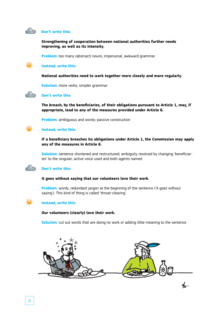

#### **Don't write this:**

**Strengthening of cooperation between national authorities further needs improving, as well as its intensity.**

**Problem:** too many (abstract) nouns; impersonal, awkward grammar

#### **Instead, write this:**

**National authorities need to work together more closely and more regularly.**

**Solution:** more verbs, simpler grammar



#### **Don't write this:**

**The breach, by the beneficiaries, of their obligations pursuant to Article 1, may, if appropriate, lead to any of the measures provided under Article 6.**

**Problem:** ambiguous and wordy; passive construction

## **Instead, write this:**

**If a beneficiary breaches its obligations under Article 1, the Commission may apply any of the measures in Article 6.**

**Solution:** sentence shortened and restructured; ambiguity resolved by changing 'beneficiaries' to the singular; active voice used and both agents named

#### **Don't write this:**

#### **It goes without saying that our volunteers love their work.**

**Problem:** wordy, redundant jargon at the beginning of the sentence ('it goes without saying'). This kind of thing is called 'throat-clearing'.



#### **Instead, write this:**

#### **Our volunteers (clearly) love their work.**

**Solution:** cut out words that are doing no work or adding little meaning to the sentence

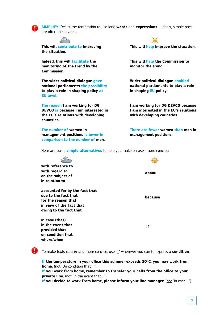

**SIMPLIFY!** Resist the temptation to use long **words** and **expressions** — short, simple ones are often the clearest.



**This will contribute to improving the situation.** 

**Indeed, this will facilitate the monitoring of the trend by the Commission.**

**The wider political dialogue gave national parliaments the possibility to play a role in shaping policy at EU level.**

**The reason I am working for DG DEVCO is because I am interested in the EU's relations with developing countries.**

**The number of women in management positions is lower in comparison to the number of men.**

**This will help improve the situation.** 

**This will help the Commission to monitor the trend.**

**Wider political dialogue enabled national parliaments to play a role in shaping EU policy.**

**I am working for DG DEVCO because I am interested in the EU's relations with developing countries.**

**There are fewer women than men in management positions.**

Here are some **simple alternatives** to help you make phrases more concise:



**in the event that provided that on condition that where/when**

 **if**

To make texts clearer and more concise, use 'if' wherever you can to express a **condition**.

**If the temperature in your office this summer exceeds 30⁰C, you may work from home.** (not 'On condition that …')

**If you work from home, remember to transfer your calls from the office to your private line.** (not 'In the event that ...')

**If you decide to work from home, please inform your line manager.** (not 'In case …')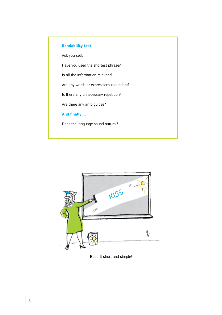# **Readability test**

Ask yourself:

Have you used the shortest phrase?

Is all the information relevant?

Are any words or expressions redundant?

Is there any unnecessary repetition?

Are there any ambiguities?

**And finally …**

Does the language sound natural?



**K**eep **i**t **s**hort and **s**imple!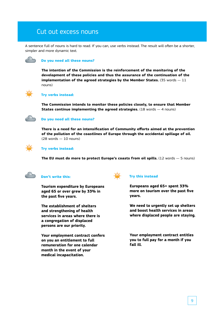# Cut out excess nouns

A sentence full of nouns is hard to read. If you can, use verbs instead. The result will often be a shorter, simpler and more dynamic text.



#### **Do you need all these nouns?**

**The intention of the Commission is the reinforcement of the monitoring of the development of these policies and thus the assurance of the continuation of the implementation of the agreed strategies by the Member States.** (35 words — 11 nouns)



#### **Try verbs instead:**

**The Commission intends to monitor these policies closely, to ensure that Member States continue implementing the agreed strategies.** (18 words  $-$  4 nouns)

#### **Do you need all these nouns?**

**There is a need for an intensification of Community efforts aimed at the prevention of the pollution of the coastlines of Europe through the accidental spillage of oil.**  (28 words — 10 nouns)



#### **Try verbs instead:**

**The EU must do more to protect Europe's coasts from oil spills.** (12 words — 5 nouns)



#### **Don't write this:**

**Tourism expenditure by Europeans aged 65 or over grew by 33% in the past five years.** 

**The establishment of shelters and strengthening of health services in areas where there is a congregation of displaced persons are our priority.**

**Your employment contract confers on you an entitlement to full remuneration for one calendar month in the event of your medical incapacitation.**



#### **Try this instead**

**Europeans aged 65+ spent 33% more on tourism over the past five years.**

**We need to urgently set up shelters and boost health services in areas where displaced people are staying.**

**Your employment contract entitles you to full pay for a month if you fall ill.**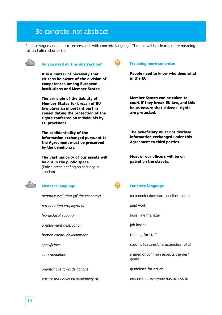# Be concrete, not abstract

Replace vague and abstract expressions with concrete language. The text will be clearer, more meaningful, and often shorter too.



## **Do you need all this abstraction?**

**It is a matter of necessity that citizens be aware of the division of competences among European institutions and Member States.**

**The principle of the liability of Member States for breach of EU law plays an important part in consolidating the protection of the rights conferred on individuals by EU provisions.**

**The confidentiality of the information exchanged pursuant to the Agreement must be preserved by the beneficiary.**

**The vast majority of our assets will be out in the public space.** (Police press briefing on security in London)



# **Abstract language**

*negative evolution (of the economy) remunerated employment hierarchical superior employment destruction human capital development specificities commonalities orientations towards actions ensure the universal availability of*



## **Try being more concrete:**

**People need to know who does what in the EU.**

**Member States can be taken to court if they break EU law, and this helps ensure that citizens' rights are protected.** 

**The beneficiary must not disclose information exchanged under this Agreement to third parties.**

**Most of our officers will be on patrol on the streets.**



## **Concrete language**

| (economic) downturn, decline, slump       |
|-------------------------------------------|
| paid work                                 |
| boss, line manager                        |
| job losses                                |
| training for staff                        |
| specific features/characteristics (of x)  |
| shared or common aspects/themes/<br>goals |
| quidelines for action                     |
|                                           |

ensure that everyone has access to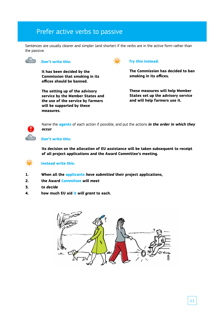# Prefer active verbs to passive

Sentences are usually clearer and simpler (and shorter) if the verbs are in the active form rather than the passive.



#### **Don't write this:**

**It has been decided by the Commission that smoking in its offices should be banned.**

**The setting up of the advisory service by the Member States and the use of the service by farmers will be supported by these measures.**



## **Try this instead:**

**The Commission has decided to ban smoking in its offices.**

**These measures will help Member States set up the advisory service and will help farmers use it.**



Name the **agents** of each action if possible, and put the actions *in the order in which they occur*.

#### **Don't write this:**

**Its decision on the allocation of EU assistance will be taken subsequent to receipt of all project applications and the Award Committee's meeting.**



#### **Instead write this:**

- **1. When all the applicants** *have submitted* **their project applications,**
- **2. the Award Committee** *will meet*
- **3.** *to decide*
- **4. how much EU aid it** *will grant* **to each.**

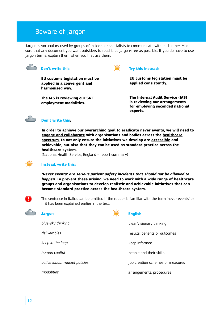# Beware of jargon

Jargon is vocabulary used by groups of insiders or specialists to communicate with each other. Make sure that any document you want outsiders to read is as jargon-free as possible. If you do have to use jargon terms, explain them when you first use them.



#### **Don't write this:**

**EU customs legislation must be applied in a convergent and harmonised way.**

**The IAS is reviewing our SNE employment modalities.**



# **Try this instead:**

**EU customs legislation must be applied consistently.**

**The Internal Audit Service (IAS) is reviewing our arrangements for employing seconded national experts.**



#### **Don't write this:**

**In order to achieve our overarching goal to eradicate never events, we will need to engage and collaborate with organisations and bodies across the healthcare spectrum, to not only ensure the initiatives we develop are accessible and achievable, but also that they can be used as standard practice across the healthcare system.**

(National Health Service, England – report summary)

## **Instead, write this:**

*'Never events' are serious patient safety incidents that should not be allowed to happen.* **To prevent these arising, we need to work with a wide range of healthcare groups and organisations to develop realistic and achievable initiatives that can become standard practice across the healthcare system.** 



The sentence in italics can be omitted if the reader is familiar with the term 'never events' or if it has been explained earlier in the text.



#### **Jargon**



# **English**

| blue-sky thinking             | clear/visionary thinking         |
|-------------------------------|----------------------------------|
| deliverables                  | results, benefits or outcomes    |
| keep in the loop              | keep informed                    |
| human capital                 | people and their skills          |
| active labour market policies | job creation schemes or measures |
| modalities                    | arrangements, procedures         |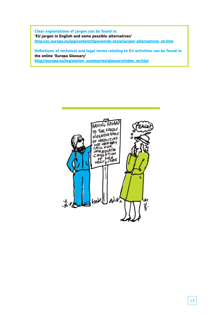**Clear explanations of jargon can be found in: 'EU jargon in English and some possible alternatives' http://ec.europa.eu/ipg/content/tips/words-style/jargon-alternatives\_en.htm**

**Definitions of technical and legal terms relating to EU activities can be found in: the online 'Europa Glossary' http://europa.eu/legislation\_summaries/glossary/index\_en.htm**

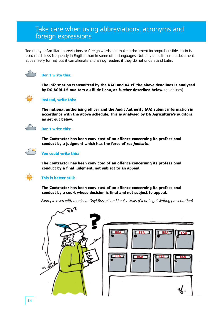# Take care when using abbreviations, acronyms and foreign expressions

Too many unfamiliar abbreviations or foreign words can make a document incomprehensible. Latin is used much less frequently in English than in some other languages. Not only does it make a document appear very formal, but it can alienate and annoy readers if they do not understand Latin.



# **Don't write this:**

**The information transmitted by the NAO and AA cf. the above deadlines is analysed by DG AGRI J.5 auditors au fil de l'eau, as further described below.** (guidelines)



#### **Instead, write this:**

**The national authorising officer and the Audit Authority (AA) submit information in accordance with the above schedule. This is analysed by DG Agriculture's auditors as set out below.** 



#### **Don't write this:**

**The Contractor has been convicted of an offence concerning its professional conduct by a judgment which has the force of** *res judicata***.**



#### **You could write this:**

**The Contractor has been convicted of an offence concerning its professional conduct by a final judgment, not subject to an appeal.**



#### **This is better still:**

**The Contractor has been convicted of an offence concerning its professional conduct by a court whose decision is final and not subject to appeal.**

*Example used with thanks to Gayl Russell and Louise Mills (Clear Legal Writing presentation)*

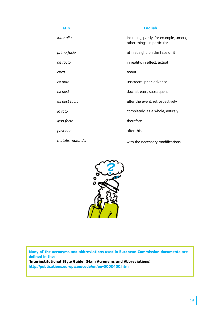| Latin            | <b>English</b>                                                       |
|------------------|----------------------------------------------------------------------|
| inter alia       | including, partly, for example, among<br>other things, in particular |
| prima facie      | at first sight, on the face of it                                    |
| de facto         | in reality, in effect, actual                                        |
| circa            | about                                                                |
| ex ante          | upstream, prior, advance                                             |
| ex post          | downstream, subsequent                                               |
| ex post facto    | after the event, retrospectively                                     |
| in toto          | completely, as a whole, entirely                                     |
| ipso facto       | therefore                                                            |
| post hoc         | after this                                                           |
| mutatis mutandis | with the necessary modifications                                     |



**Many of the acronyms and abbreviations used in European Commission documents are defined in the:**

**'Interinstitutional Style Guide' (Main Acronyms and Abbreviations) http://publications.europa.eu/code/en/en-5000400.htm**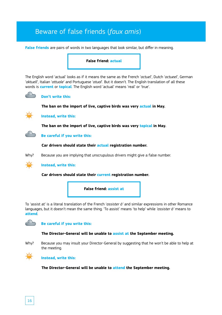# Beware of false friends (*faux amis*)

**False friends** are pairs of words in two languages that look similar, but differ in meaning.

#### **False friend: actual**

The English word 'actual' looks as if it means the same as the French '*actuel*', Dutch '*actueel*', German '*aktuell*', Italian '*attuale*' and Portuguese '*atual*'. But it doesn't. The English translation of all these words is **current** or **topical**. The English word 'actual' means 'real' or 'true'.



#### **Don't write this:**

**The ban on the import of live, captive birds was very actual in May.**



**Instead, write this:**

**The ban on the import of live, captive birds was very topical in May.**



#### **Car drivers should state their actual registration number.**





**Instead, write this:**

#### **Car drivers should state their current registration number.**



To 'assist at' is a literal translation of the French '*assister à'* and similar expressions in other Romance languages, but it doesn't mean the same thing. 'To assist' means 'to help' while *'assister à'* means to **attend**.



#### **The Director-General will be unable to assist at the September meeting.**

Why? Because you may insult your Director-General by suggesting that he won't be able to help at the meeting.



#### **Instead, write this:**

**The Director-General will be unable to attend the September meeting.**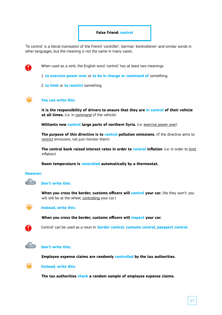#### **False friend: control**

'To control' is a literal translation of the French '*contrôler*', German '*kontrollieren*' and similar words in other languages, but the meaning is not the same in many cases.



When used as a verb, the English word 'control' has at least two meanings:

1. **to exercise power over** or **to be in charge or command of** something

2. **to limit** or **to restrict** something



#### **You can write this:**

**It is the responsibility of drivers to ensure that they are in control of their vehicle at all times.** (i.e. in command of the vehicle)

**Militants now control large parts of northern Syria.** (i.e. exercise power over)

**The purpose of this directive is to control pollution emissions.** (if the directive aims to restrict emissions, not just monitor them)

**The central bank raised interest rates in order to control inflation**. (i.e. in order to limit inflation)

**Room temperature is controlled automatically by a thermostat.**

#### **However:**

 $\curvearrowleft$ 

#### **Don't write this:**

**When you cross the border, customs officers will <b>control your car.** (No they won't: you will still be at the wheel, controlling your car.)



#### **Instead, write this:**

**When you cross the border, customs officers will inspect your car.**



Control' can be used as a noun in: **border control**, **customs control**, **passport control**.



#### **Don't write this:**

**Employee expense claims are randomly controlled by the tax authorities.**



#### **Instead, write this:**

**The tax authorities check a random sample of employee expense claims.**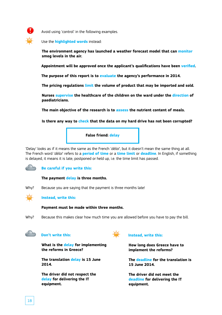

Avoid using 'control' in the following examples.

Use the **highlighted words** instead:

**The environment agency has launched a weather forecast model that can monitor smog levels in the air.**

**Appointment will be approved once the applicant's qualifications have been verified.** 

**The purpose of this report is to evaluate the agency's performance in 2014.**

**The pricing regulations limit the volume of product that may be imported and sold.** 

**Nurses supervise the healthcare of the children on the ward under the direction of paediatricians.**

**The main objective of the research is to assess the nutrient content of meals.**

**Is there any way to check that the data on my hard drive has not been corrupted?**



'Delay' looks as if it means the same as the French '*délai*', but it doesn't mean the same thing at all. The French word '*délai*' refers to a **period of time** or a **time limit** or **deadline**. In English, if something is delayed, it means it is late, postponed or held up, i.e. the time limit has passed.

## **Be careful if you write this:**

#### **The payment delay is three months.**

Why? Because you are saying that the payment is three months late!



#### **Instead, write this:**

**Payment must be made within three months.**

Why? Because this makes clear how much time you are allowed before you have to pay the bill.



## **Don't write this:**

**What is the delay for implementing the reforms in Greece?**

**The translation delay is 15 June 2014.**

**The driver did not respect the delay for delivering the IT equipment.**



#### **Instead, write this:**

**How long does Greece have to implement the reforms?**

**The deadline for the translation is 15 June 2014.**

**The driver did not meet the deadline for delivering the IT equipment.**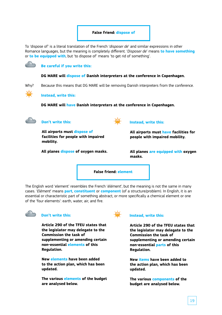#### **False friend: dispose of**

To 'dispose of' is a literal translation of the French '*disposer de*' and similar expressions in other Romance languages, but the meaning is completely different. '*Disposer de*' means **to have something**  or **to be equipped with**, but 'to dispose of' means 'to get rid of something'.



**Be careful if you write this:**

**DG MARE will dispose of Danish interpreters at the conference in Copenhagen.**

Why? Because this means that DG MARE will be removing Danish interpreters from the conference.



**Instead, write this:**

**DG MARE will have Danish interpreters at the conference in Copenhagen.**



#### **Don't write this:**

**All airports must dispose of facilities for people with impaired mobility.**

**All planes dispose of oxygen masks.**



#### **Instead, write this:**

**All airports must have facilities for people with impaired mobility.**

**All planes are equipped with oxygen masks.**

**False friend: element**

The English word 'element' resembles the French '*élément*', but the meaning is not the same in many cases. '*Elément*' means **part**, **constituent** or **component** (of a structure/problem). In English, it is an essential or characteristic part of something abstract, or more specifically a chemical element or one of the 'four elements': earth, water, air, and fire.



#### **Don't write this:**

**Article 290 of the TFEU states that the legislator may delegate to the Commission the task of supplementing or amending certain non-essential elements of this Regulation.**

**New elements have been added to the action plan, which has been updated.**

**The various elements of the budget are analysed below.**



#### **Instead, write this:**

**Article 290 of the TFEU states that the legislator may delegate to the Commission the task of supplementing or amending certain non-essential parts of this Regulation.**

**New items have been added to the action plan, which has been updated.**

**The various components of the budget are analysed below.**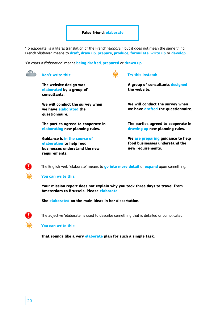#### **False friend: elaborate**

'To elaborate' is a literal translation of the French '*élaborer*', but it does not mean the same thing. French '*élaborer*' means to **draft**, **draw up**, **prepare**, **produce**, **formulate**, **write up** or **develop**.

 $\rightarrow$ 

'*En cours d'élaboration*' means **being drafted**, **prepared** or **drawn up**.



#### **Don't write this:**

**The website design was elaborated by a group of consultants.**

**We will conduct the survey when we have elaborated the questionnaire.**

**The parties agreed to cooperate in elaborating new planning rules.**

**Guidance is in the course of elaboration to help food businesses understand the new requirements.**

**Try this instead:**

**A group of consultants designed the website.**

**We will conduct the survey when we have drafted the questionnaire.**

**The parties agreed to cooperate in drawing up new planning rules.**

**We are preparing guidance to help food businesses understand the new requirements.**



The English verb 'elaborate' means to **go into more detail** or **expand** upon something.

#### **You can write this:**

**Your mission report does not explain why you took three days to travel from Amsterdam to Brussels. Please elaborate.**

**She elaborated on the main ideas in her dissertation.**



The adjective 'elaborate' is used to describe something that is detailed or complicated.

**You can write this:**

**That sounds like a very elaborate plan for such a simple task.**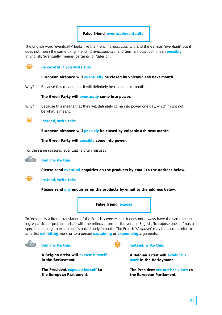

The English word 'eventually' looks like the French '*éventuellement*' and the German '*eventuell*', but it does not mean the same thing. French '*éventuellement*' and German '*eventuell*' mean **possibly**. In English, 'eventually' means 'certainly' or 'later on'.



**Be careful if you write this:**

#### **European airspace will eventually be closed by volcanic ash next month.**

Why? Because this means that it will definitely be closed next month.

**The Green Party will eventually come into power.**

Why? Because this means that they will definitely come into power one day, which might not be what is meant.



**Instead, write this:**

**European airspace will possibly be closed by volcanic ash next month.**

**The Green Party will possibly come into power.**

For the same reasons, 'eventual' is often misused.



**Don't write this:**

**Please send eventual enquiries on the products by email to the address below.**

#### **Instead, write this:**

**Please send any enquiries on the products by email to the address below.**

**False friend: expose**

To 'expose' is a literal translation of the French '*exposer*', but it does not always have the same meaning. A particular problem arises with the reflexive form of the verb. In English, 'to expose oneself' has a specific meaning: to expose one's naked body in public. The French '*s'expose*r' may be used to refer to an artist **exhibiting** work, or to a person **explaining** or **expounding** arguments.



**Don't write this:**



**Instead, write this:**

**A Belgian artist will exhibit his work in the Berlaymont.**

**The President set out her views to the European Parliament.**

**A Belgian artist will expose himself in the Berlaymont.**

**The President exposed herself to the European Parliament.**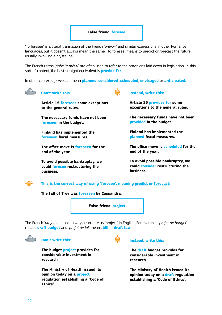#### **False friend: foresee**

'To foresee' is a literal translation of the French '*prévoir*' and similar expressions in other Romance languages, but it doesn't always mean the same. 'To foresee' means to predict or forecast the future, usually involving a crystal ball.

The French terms '*prévoir/ prévu*' are often used to refer to the provisions laid down in legislation. In this sort of context, the best straight equivalent is **provide for**.

In other contexts, *prévu* can mean **planned**, **considered**, **scheduled**, **envisaged** or **anticipated.**



# **Don't write this:**

**Article 15 foresees some exceptions to the general rules.**

**The necessary funds have not been foreseen in the budget.**

**Finland has implemented the foreseen fiscal measures.**

**The office move is foreseen for the end of the year.**

**To avoid possible bankruptcy, we could foresee restructuring the business.**



**Article 15 provides for some exceptions to the general rules.**

**The necessary funds have not been provided in the budget.**

**Finland has implemented the planned fiscal measures.**

**The office move is scheduled for the end of the year.**

**To avoid possible bankruptcy, we could consider restructuring the business.**



**This is the correct way of using 'foresee', meaning predict or forecast:**

**The fall of Troy was foreseen by Cassandra.**



The French '*projet*' does not always translate as 'project' in English. For example, '*projet de budget*' means **draft budget** and '*projet de loi*' means **bill** or **draft law**.



**Don't write this:**

**The budget project provides for considerable investment in research.**

**The Ministry of Health issued its opinion today on a project regulation establishing a 'Code of Ethics'.**



#### **Instead, write this:**

**The draft budget provides for considerable investment in research.**

**The Ministry of Health issued its opinion today on a draft regulation establishing a 'Code of Ethics'.**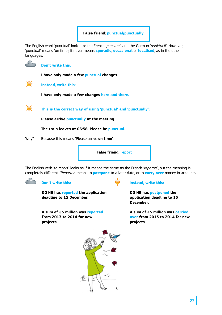**False friend: punctual/punctually**

The English word 'punctual' looks like the French '*ponctuel*' and the German '*punktuell*'. However, 'punctual' means 'on time'; it never means **sporadic**, **occasional** or **localised**, as in the other languages.



## **Don't write this:**

**I have only made a few punctual changes.**



**Instead, write this:**

**I have only made a few changes here and there.**



**This is the correct way of using 'punctual' and 'punctually':** 

**Please arrive punctually at the meeting.**

**The train leaves at 06:58. Please be punctual.**

Why? Because this means 'Please arrive **on time**'.



The English verb 'to report' looks as if it means the same as the French '*reporter*', but the meaning is completely different. '*Reporter*' means to **postpone** to a later date, or to **carry over** money in accounts.



# **Don't write this:**

**DG HR has reported the application deadline to 15 December.**

**A sum of €5 million was reported from 2013 to 2014 for new projects.**



# **Instead, write this:**

**DG HR has postponed the application deadline to 15 December.**

**A sum of €5 million was carried over from 2013 to 2014 for new projects.**

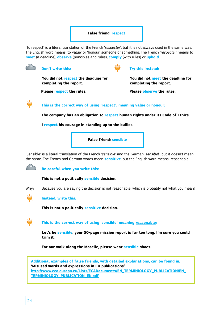# **False friend: respect**

'To respect' is a literal translation of the French '*respecter*', but it is not always used in the same way. The English word means 'to value' or 'honour' someone or something. The French '*respecter*' means to **meet** (a deadline), **observe** (principles and rules), **comply** (with rules) or **uphold**.



## **Don't write this:**

**You did not respect the deadline for completing the report.**

**Try this instead:**

**You did not meet the deadline for completing the report.**

**Please respect the rules. Please observe the rules.**

**This is the correct way of using 'respect', meaning value or honour:**

**The company has an obligation to respect human rights under its Code of Ethics.**

**I respect his courage in standing up to the bullies.**



'Sensible' is a literal translation of the French '*sensible*' and the German '*sensibel*', but it doesn't mean the same. The French and German words mean **sensitive**, but the English word means 'reasonable'.

**Be careful when you write this:**

**This is not a politically sensible decision.**

Why? Because you are saying the decision is not reasonable, which is probably not what you mean!



**Instead, write this:**

**This is not a politically sensitive decision.**



**This is the correct way of using 'sensible' meaning reasonable:**

**Let's be sensible, your 50-page mission report is far too long. I'm sure you could trim it.** 

**For our walk along the Moselle, please wear sensible shoes.**

**Additional examples of false friends, with detailed explanations, can be found in: 'Misused words and expressions in EU publications' http://www.eca.europa.eu/Lists/ECADocuments/EN\_TERMINIOLOGY\_PUBLICATION/EN\_ TERMINIOLOGY\_PUBLICATION\_EN.pdf**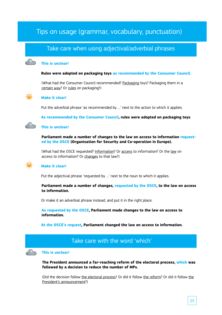# Tips on usage (grammar, vocabulary, punctuation)

# Take care when using adjectival/adverbial phrases

#### **This is unclear!**

#### **Rules were adopted on packaging toys as recommended by the Consumer Council.**

(What had the Consumer Council recommended? Packaging toys? Packaging them in a certain way? Or rules on packaging?)



#### **Make it clear!**

Put the adverbial phrase 'as recommended by …' next to the action to which it applies.

**As recommended by the Consumer Council, rules were adopted on packaging toys**.

#### **This is unclear!**

**Parliament made a number of changes to the law on access to information requested by the OSCE (Organisation for Security and Co-operation in Europe).**

(What had the OSCE requested? Information? Or access to information? Or the law on access to information? Or changes to that law?)

## **Make it clear!**

Put the adjectival phrase 'requested by …' next to the noun to which it applies.

**Parliament made a number of changes, requested by the OSCE, to the law on access to information.**

Or make it an adverbial phrase instead, and put it in the right place:

**As requested by the OSCE, Parliament made changes to the law on access to information.**

**At the OSCE's request, Parliament changed the law on access to information.**

# Take care with the word 'which'

#### **This is unclear!**

**The President announced a far-reaching reform of the electoral process, which was followed by a decision to reduce the number of MPs.**

(Did the decision follow the electoral process? Or did it follow the reform? Or did it follow the President's announcement?)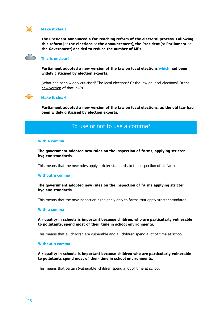

#### **Make it clear!**

**The President announced a far-reaching reform of the electoral process. Following this reform** [or **the elections** or **the announcement**]**, the President** [or **Parliament** or **the Government**] **decided to reduce the number of MPs.**



#### **This is unclear!**

**Parliament adopted a new version of the law on local elections which had been widely criticised by election experts.**

(What had been widely criticised? The local elections? Or the law on local elections? Or the new version of that law?)



#### **Make it clear!**

**Parliament adopted a new version of the law on local elections, as the old law had been widely criticised by election experts.**

# To use or not to use a comma?

#### **With a comma**

**The government adopted new rules on the inspection of farms, applying stricter hygiene standards.**

This means that the new rules apply stricter standards to the inspection of all farms.

#### **Without a comma**

#### **The government adopted new rules on the inspection of farms applying stricter hygiene standards.**

This means that the new inspection rules apply only to farms that apply stricter standards.

#### **With a comma**

**Air quality in schools is important because children, who are particularly vulnerable to pollutants, spend most of their time in school environments.**

This means that all children are vulnerable and all children spend a lot of time at school.

#### **Without a comma**

**Air quality in schools is important because children who are particularly vulnerable to pollutants spend most of their time in school environments.**

This means that certain (vulnerable) children spend a lot of time at school.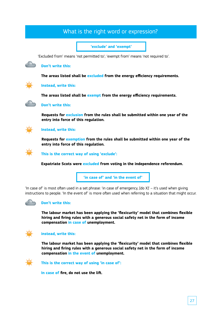# What is the right word or expression?

**'exclude' and 'exempt'**

'Excluded from' means 'not permitted to'; 'exempt from' means 'not required to'.

#### **Don't write this:**

**The areas listed shall be excluded from the energy efficiency requirements.**



#### **Instead, write this:**

**The areas listed shall be exempt from the energy efficiency requirements.**



**Don't write this:**

**Requests for exclusion from the rules shall be submitted within one year of the entry into force of this regulation.**



## **Instead, write this:**

**Requests for exemption from the rules shall be submitted within one year of the entry into force of this regulation.**



**This is the correct way of using 'exclude':**

**Expatriate Scots were excluded from voting in the independence referendum.**

**'in case of' and 'in the event of'**

'In case of' is most often used in a set phrase: 'in case of emergency, [do X]' – it's used when giving instructions to people. 'In the event of' is more often used when referring to a situation that might occur.



#### **Don't write this:**

**The labour market has been applying the 'flexicurity' model that combines flexible hiring and firing rules with a generous social safety net in the form of income compensation in case of unemployment.** 



#### **instead, write this:**

**The labour market has been applying the 'flexicurity' model that combines flexible hiring and firing rules with a generous social safety net in the form of income compensation in the event of unemployment.**



**This is the correct way of using 'in case of':**

**In case of fire, do not use the lift.**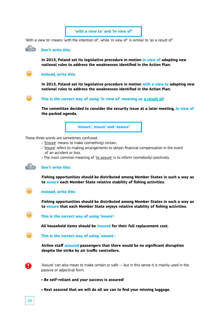

'With a view to' means 'with the intention of', while 'in view of' is similar to 'as a result of'.



#### **Don't write this:**

**In 2013, Poland set its legislative procedure in motion in view of adopting new national rules to address the weaknesses identified in the Action Plan.**



#### **Instead, write this:**

**In 2013, Poland set its legislative procedure in motion with a view to adopting new national rules to address the weaknesses identified in the Action Plan.**



#### **This is the correct way of using 'in view of' meaning as a result of:**

**The committee decided to consider the security issue at a later meeting, in view of the packed agenda.**

**'ensure', insure' and 'assure'**

These three words are sometimes confused.

- 'Ensure' means to make (something) certain.
- 'Insure' refers to making arrangements to obtain financial compensation in the event of an accident or loss.
- The most common meaning of 'to assure' is to inform (somebody) positively.



#### **Don't write this:**

**Fishing opportunities should be distributed among Member States in such a way as to assure each Member State relative stability of fishing activities.**



#### **Instead, write this:**

**Fishing opportunities should be distributed among Member States in such a way as to ensure that each Member State enjoys relative stability of fishing activities.**



**This is the correct way of using 'insure':**

**All household items should be insured for their full replacement cost.** 



#### **This is the correct way of using 'assure':**

**Airline staff assured passengers that there would be no significant disruption despite the strike by air traffic controllers.**



'Assure' can also mean to make certain or safe — but in this sense it is mainly used in the passive or adjectival form.

- **Be self-reliant and your success is assured!**
- **Rest assured that we will do all we can to find your missing luggage.**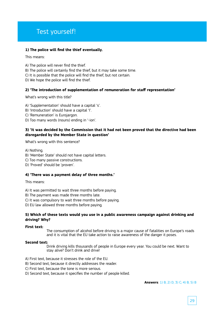# Test yourself!

#### **1) The police will find the thief eventually.**

This means:

- A) The police will never find the thief.
- B) The police will certainly find the thief, but it may take some time.
- C) It is possible that the police will find the thief, but not certain.
- D) We hope the police will find the thief

#### **2) 'The introduction of supplementation of remuneration for staff representation'**

What's wrong with this title?

- A) 'Supplementation' should have a capital 's'.
- B) 'Introduction' should have a capital 'I'.
- C) 'Remuneration' is Eurojargon.
- D) Too many words (nouns) ending in '-ion'.

#### **3) 'It was decided by the Commission that it had not been proved that the directive had been disregarded by the Member State in question'**

What's wrong with this sentence?

A) Nothing.

- B) 'Member State' should not have capital letters.
- C) Too many passive constructions.
- D) 'Proved' should be 'proven'.

#### **4) 'There was a payment delay of three months.'**

This means:

- A) It was permitted to wait three months before paying.
- B) The payment was made three months late.
- C) It was compulsory to wait three months before paying.
- D) EU law allowed three months before paying.

#### **5) Which of these texts would you use in a public awareness campaign against drinking and driving? Why?**

#### **First text:**

The consumption of alcohol before driving is a major cause of fatalities on Europe's roads and it is vital that the EU take action to raise awareness of the danger it poses.

#### **Second text:**

Drink driving kills thousands of people in Europe every year. You could be next. Want to stay alive? Don't drink and drive!

- A) First text, because it stresses the role of the EU.
- B) Second text, because it directly addresses the reader.
- C) First text, because the tone is more serious.
- D) Second text, because it specifies the number of people killed.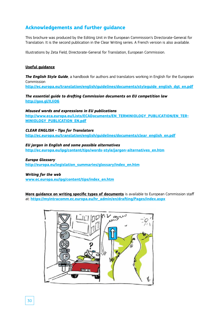# **Acknowledgements and further guidance**

This brochure was produced by the Editing Unit in the European Commission's Directorate-General for Translation. It is the second publication in the Clear Writing series. A French version is also available.

Illustrations by Zeta Field, Directorate-General for Translation, European Commission.

#### **Useful guidance**

*The English Style Guide*, a handbook for authors and translators working in English for the European Commission **http://ec.europa.eu/translation/english/guidelines/documents/styleguide\_english\_dgt\_en.pdf**

*The essential guide to drafting Commission documents on EU competition law* **http://goo.gl/XJiO6**

*Misused words and expressions in EU publications* **http://www.eca.europa.eu/Lists/ECADocuments/EN\_TERMINIOLOGY\_PUBLICATION/EN\_TER-MINIOLOGY\_PUBLICATION\_EN.pdf**

*CLEAR ENGLISH - Tips for Translators* **http://ec.europa.eu/translation/english/guidelines/documents/clear\_english\_en.pdf**

#### *EU jargon in English and some possible alternatives*

**http://ec.europa.eu/ipg/content/tips/words-style/jargon-alternatives\_en.htm**

#### *Europa Glossary*

**http://europa.eu/legislation\_summaries/glossary/index\_en.htm**

#### *Writing for the web*

**www.ec.europa.eu/ipg/content/tips/index\_en.htm**

**More guidance on writing specific types of documents** is available to European Commission staff at: **https://myintracomm.ec.europa.eu/hr\_admin/en/drafting/Pages/index.aspx**

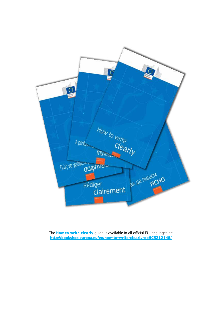

The **How to write clearly** guide is available in all official EU languages at: **http://bookshop.europa.eu/en/how-to-write-clearly-pbHC3212148/**